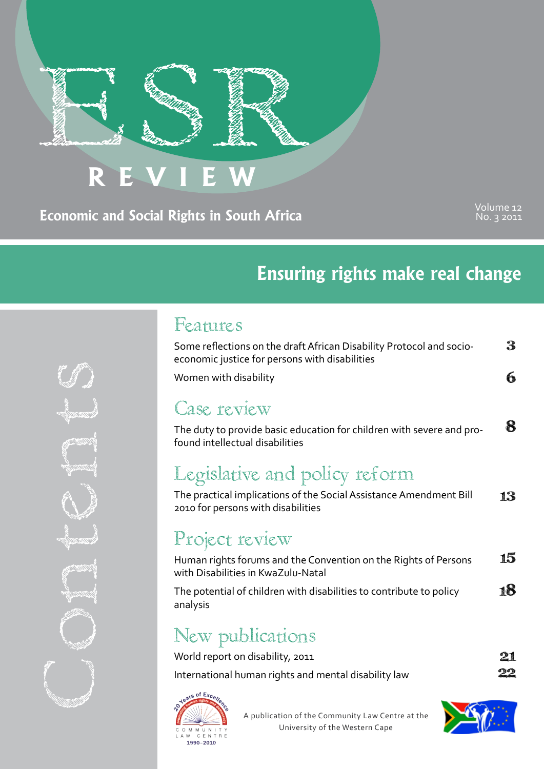# **REVIEW**

**Economic and Social Rights in South Africa**

Volume 12 No. 3 2011

# **Ensuring rights make real change**

### Features

| Some reflections on the draft African Disability Protocol and socio-<br>economic justice for persons with disabilities                    | 3  |
|-------------------------------------------------------------------------------------------------------------------------------------------|----|
| Women with disability                                                                                                                     |    |
| Case review<br>The duty to provide basic education for children with severe and pro-<br>found intellectual disabilities                   |    |
| Legislative and policy reform<br>The practical implications of the Social Assistance Amendment Bill<br>2010 for persons with disabilities | 13 |
| Project review<br>Human rights forums and the Convention on the Rights of Persons                                                         |    |

18 with Disabilities in KwaZulu-Natal The potential of children with disabilities to contribute to policy analysis

# New publications

| World report on disability, 2011                     | 21 |
|------------------------------------------------------|----|
| International human rights and mental disability law | 22 |
|                                                      |    |



A publication of the Community Law Centre at the University of the Western Cape



Contents du Contents du Co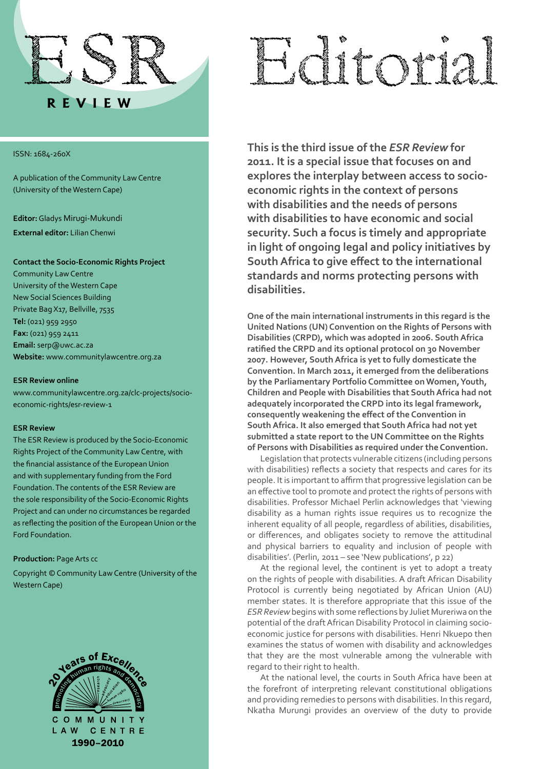

#### ISSN: 1684-260X

A publication of the Community Law Centre (University of the Western Cape)

**Editor:** Gladys Mirugi-Mukundi

**External editor:** Lilian Chenwi

#### **Contact the Socio-Economic Rights Project**

Community Law Centre University of the Western Cape New Social Sciences Building Private Bag X17, Bellville, 7535 **Tel:** (021) 959 2950 **Fax:** (021) 959 2411 **Email:** serp@uwc.ac.za **Website:** www.communitylawcentre.org.za

#### **ESR Review online**

www.communitylawcentre.org.za/clc-projects/socioeconomic-rights/esr-review-1

#### **ESR Review**

The ESR Review is produced by the Socio-Economic Rights Project of the Community Law Centre, with the financial assistance of the European Union and with supplementary funding from the Ford Foundation. The contents of the ESR Review are the sole responsibility of the Socio-Economic Rights Project and can under no circumstances be regarded as reflecting the position of the European Union or the Ford Foundation.

#### **Production:** Page Arts cc

Copyright © Community Law Centre (University of the Western Cape)



# Editorial

**This is the third issue of the** *ESR Review* **for 2011. It is a special issue that focuses on and explores the interplay between access to socioeconomic rights in the context of persons with disabilities and the needs of persons with disabilities to have economic and social security. Such a focus is timely and appropriate in light of ongoing legal and policy initiatives by South Africa to give effect to the international standards and norms protecting persons with disabilities.**

**One of the main international instruments in this regard is the United Nations (UN) Convention on the Rights of Persons with Disabilities (CRPD), which was adopted in 2006. South Africa ratified the CRPD and its optional protocol on 30 November 2007. However, South Africa is yet to fully domesticate the Convention. In March 2011, it emerged from the deliberations by the Parliamentary Portfolio Committee on Women, Youth, Children and People with Disabilities that South Africa had not adequately incorporated the CRPD into its legal framework, consequently weakening the effect of the Convention in South Africa. It also emerged that South Africa had not yet submitted a state report to the UN Committee on the Rights of Persons with Disabilities as required under the Convention.**

Legislation that protects vulnerable citizens (including persons with disabilities) reflects a society that respects and cares for its people. It is important to affirm that progressive legislation can be an effective tool to promote and protect the rights of persons with disabilities. Professor Michael Perlin acknowledges that 'viewing disability as a human rights issue requires us to recognize the inherent equality of all people, regardless of abilities, disabilities, or differences, and obligates society to remove the attitudinal and physical barriers to equality and inclusion of people with disabilities'. (Perlin, 2011 – see 'New publications', p 22)

At the regional level, the continent is yet to adopt a treaty on the rights of people with disabilities. A draft African Disability Protocol is currently being negotiated by African Union (AU) member states. It is therefore appropriate that this issue of the *ESR Review* begins with some reflections by Juliet Mureriwa on the potential of the draft African Disability Protocol in claiming socioeconomic justice for persons with disabilities. Henri Nkuepo then examines the status of women with disability and acknowledges that they are the most vulnerable among the vulnerable with regard to their right to health.

At the national level, the courts in South Africa have been at the forefront of interpreting relevant constitutional obligations and providing remedies to persons with disabilities. In this regard, Nkatha Murungi provides an overview of the duty to provide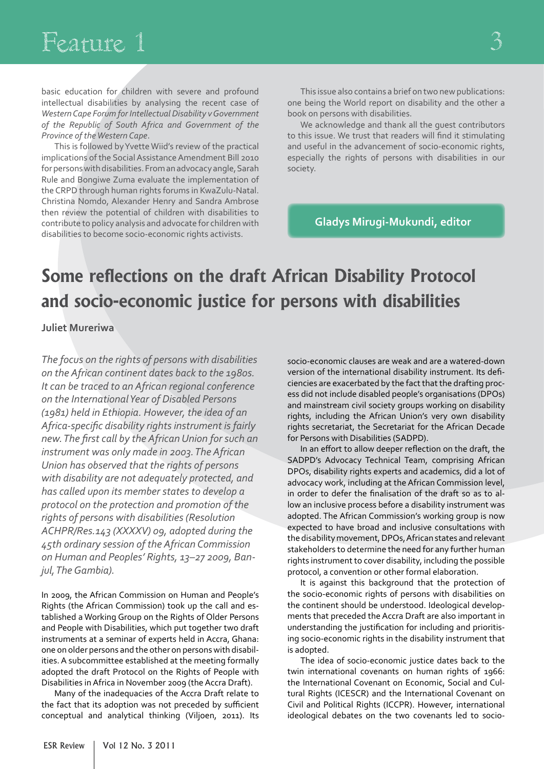# Feature 1

basic education for children with severe and profound intellectual disabilities by analysing the recent case of *Western Cape Forum for Intellectual Disability v Government of the Republic of South Africa and Government of the Province of the Western Cape*.

This is followed by Yvette Wiid's review of the practical implications of the Social Assistance Amendment Bill 2010 for persons with disabilities. From an advocacy angle, Sarah Rule and Bongiwe Zuma evaluate the implementation of the CRPD through human rights forums in KwaZulu-Natal. Christina Nomdo, Alexander Henry and Sandra Ambrose then review the potential of children with disabilities to contribute to policy analysis and advocate for children with disabilities to become socio-economic rights activists.

This issue also contains a brief on two new publications: one being the World report on disability and the other a book on persons with disabilities.

We acknowledge and thank all the guest contributors to this issue. We trust that readers will find it stimulating and useful in the advancement of socio-economic rights, especially the rights of persons with disabilities in our society.

**Gladys Mirugi-Mukundi, editor**

# **Some reflections on the draft African Disability Protocol and socio-economic justice for persons with disabilities**

**Juliet Mureriwa**

*The focus on the rights of persons with disabilities on the African continent dates back to the 1980s. It can be traced to an African regional conference on the International Year of Disabled Persons (1981) held in Ethiopia. However, the idea of an Africa-specific disability rights instrument is fairly new. The first call by the African Union for such an instrument was only made in 2003. The African Union has observed that the rights of persons with disability are not adequately protected, and has called upon its member states to develop a protocol on the protection and promotion of the rights of persons with disabilities (Resolution ACHPR/Res.143 (XXXXV) 09, adopted during the 45th ordinary session of the African Commission on Human and Peoples' Rights, 13–27 2009, Banjul, The Gambia).*

In 2009, the African Commission on Human and People's Rights (the African Commission) took up the call and established a Working Group on the Rights of Older Persons and People with Disabilities, which put together two draft instruments at a seminar of experts held in Accra, Ghana: one on older persons and the other on persons with disabilities. A subcommittee established at the meeting formally adopted the draft Protocol on the Rights of People with Disabilities in Africa in November 2009 (the Accra Draft).

Many of the inadequacies of the Accra Draft relate to the fact that its adoption was not preceded by sufficient conceptual and analytical thinking (Viljoen, 2011). Its

socio-economic clauses are weak and are a watered-down version of the international disability instrument. Its deficiencies are exacerbated by the fact that the drafting process did not include disabled people's organisations (DPOs) and mainstream civil society groups working on disability rights, including the African Union's very own disability rights secretariat, the Secretariat for the African Decade for Persons with Disabilities (SADPD).

In an effort to allow deeper reflection on the draft, the SADPD's Advocacy Technical Team, comprising African DPOs, disability rights experts and academics, did a lot of advocacy work, including at the African Commission level, in order to defer the finalisation of the draft so as to allow an inclusive process before a disability instrument was adopted. The African Commission's working group is now expected to have broad and inclusive consultations with the disability movement, DPOs, African states and relevant stakeholders to determine the need for any further human rights instrument to cover disability, including the possible protocol, a convention or other formal elaboration.

It is against this background that the protection of the socio-economic rights of persons with disabilities on the continent should be understood. Ideological developments that preceded the Accra Draft are also important in understanding the justification for including and prioritising socio-economic rights in the disability instrument that is adopted.

The idea of socio-economic justice dates back to the twin international covenants on human rights of 1966: the International Covenant on Economic, Social and Cultural Rights (ICESCR) and the International Covenant on Civil and Political Rights (ICCPR). However, international ideological debates on the two covenants led to socio-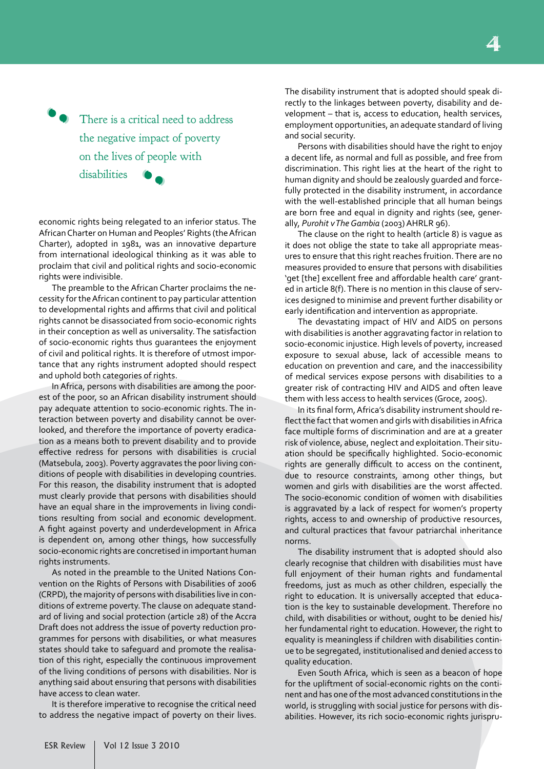There is a critical need to address the negative impact of poverty on the lives of people with disabilities **' .** '

**'** 

economic rights being relegated to an inferior status. The African Charter on Human and Peoples' Rights (the African Charter), adopted in 1981, was an innovative departure from international ideological thinking as it was able to proclaim that civil and political rights and socio-economic rights were indivisible.

The preamble to the African Charter proclaims the necessity for the African continent to pay particular attention to developmental rights and affirms that civil and political rights cannot be disassociated from socio-economic rights in their conception as well as universality. The satisfaction of socio-economic rights thus guarantees the enjoyment of civil and political rights. It is therefore of utmost importance that any rights instrument adopted should respect and uphold both categories of rights.

In Africa, persons with disabilities are among the poorest of the poor, so an African disability instrument should pay adequate attention to socio-economic rights. The interaction between poverty and disability cannot be overlooked, and therefore the importance of poverty eradication as a means both to prevent disability and to provide effective redress for persons with disabilities is crucial (Matsebula, 2003). Poverty aggravates the poor living conditions of people with disabilities in developing countries. For this reason, the disability instrument that is adopted must clearly provide that persons with disabilities should have an equal share in the improvements in living conditions resulting from social and economic development. A fight against poverty and underdevelopment in Africa is dependent on, among other things, how successfully socio-economic rights are concretised in important human rights instruments.

As noted in the preamble to the United Nations Convention on the Rights of Persons with Disabilities of 2006 (CRPD), the majority of persons with disabilities live in conditions of extreme poverty. The clause on adequate standard of living and social protection (article 28) of the Accra Draft does not address the issue of poverty reduction programmes for persons with disabilities, or what measures states should take to safeguard and promote the realisation of this right, especially the continuous improvement of the living conditions of persons with disabilities. Nor is anything said about ensuring that persons with disabilities have access to clean water.

It is therefore imperative to recognise the critical need to address the negative impact of poverty on their lives.

The disability instrument that is adopted should speak directly to the linkages between poverty, disability and development – that is, access to education, health services, employment opportunities, an adequate standard of living and social security.

Persons with disabilities should have the right to enjoy a decent life, as normal and full as possible, and free from discrimination. This right lies at the heart of the right to human dignity and should be zealously guarded and forcefully protected in the disability instrument, in accordance with the well-established principle that all human beings are born free and equal in dignity and rights (see, generally, *Purohit v The Gambia* (2003) AHRLR 96).

The clause on the right to health (article 8) is vague as it does not oblige the state to take all appropriate measures to ensure that this right reaches fruition. There are no measures provided to ensure that persons with disabilities 'get [the] excellent free and affordable health care' granted in article 8(f). There is no mention in this clause of services designed to minimise and prevent further disability or early identification and intervention as appropriate.

The devastating impact of HIV and AIDS on persons with disabilities is another aggravating factor in relation to socio-economic injustice. High levels of poverty, increased exposure to sexual abuse, lack of accessible means to education on prevention and care, and the inaccessibility of medical services expose persons with disabilities to a greater risk of contracting HIV and AIDS and often leave them with less access to health services (Groce, 2005).

In its final form, Africa's disability instrument should reflect the fact that women and girls with disabilities in Africa face multiple forms of discrimination and are at a greater risk of violence, abuse, neglect and exploitation. Their situation should be specifically highlighted. Socio-economic rights are generally difficult to access on the continent, due to resource constraints, among other things, but women and girls with disabilities are the worst affected. The socio-economic condition of women with disabilities is aggravated by a lack of respect for women's property rights, access to and ownership of productive resources, and cultural practices that favour patriarchal inheritance norms.

The disability instrument that is adopted should also clearly recognise that children with disabilities must have full enjoyment of their human rights and fundamental freedoms, just as much as other children, especially the right to education. It is universally accepted that education is the key to sustainable development. Therefore no child, with disabilities or without, ought to be denied his/ her fundamental right to education. However, the right to equality is meaningless if children with disabilities continue to be segregated, institutionalised and denied access to quality education.

Even South Africa, which is seen as a beacon of hope for the upliftment of social-economic rights on the continent and has one of the most advanced constitutions in the world, is struggling with social justice for persons with disabilities. However, its rich socio-economic rights jurispru-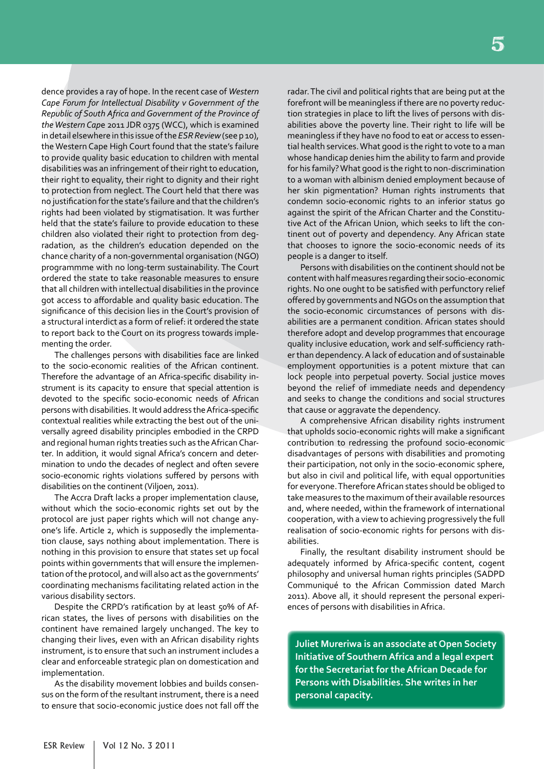dence provides a ray of hope. In the recent case of *Western Cape Forum for Intellectual Disability v Government of the Republic of South Africa and Government of the Province of the Western Cap*e 2011 JDR 0375 (WCC), which is examined in detail elsewhere in this issue of the *ESR Review* (see p 10), the Western Cape High Court found that the state's failure to provide quality basic education to children with mental disabilities was an infringement of their right to education, their right to equality, their right to dignity and their right to protection from neglect. The Court held that there was no justification for the state's failure and that the children's rights had been violated by stigmatisation. It was further held that the state's failure to provide education to these children also violated their right to protection from degradation, as the children's education depended on the chance charity of a non-governmental organisation (NGO) programmme with no long-term sustainability. The Court ordered the state to take reasonable measures to ensure that all children with intellectual disabilities in the province got access to affordable and quality basic education. The significance of this decision lies in the Court's provision of a structural interdict as a form of relief: it ordered the state to report back to the Court on its progress towards implementing the order.

The challenges persons with disabilities face are linked to the socio-economic realities of the African continent. Therefore the advantage of an Africa-specific disability instrument is its capacity to ensure that special attention is devoted to the specific socio-economic needs of African persons with disabilities. It would address the Africa-specific contextual realities while extracting the best out of the universally agreed disability principles embodied in the CRPD and regional human rights treaties such as the African Charter. In addition, it would signal Africa's concern and determination to undo the decades of neglect and often severe socio-economic rights violations suffered by persons with disabilities on the continent (Viljoen, 2011).

The Accra Draft lacks a proper implementation clause, without which the socio-economic rights set out by the protocol are just paper rights which will not change anyone's life. Article 2, which is supposedly the implementation clause, says nothing about implementation. There is nothing in this provision to ensure that states set up focal points within governments that will ensure the implementation of the protocol, and will also act as the governments' coordinating mechanisms facilitating related action in the various disability sectors.

Despite the CRPD's ratification by at least 50% of African states, the lives of persons with disabilities on the continent have remained largely unchanged. The key to changing their lives, even with an African disability rights instrument, is to ensure that such an instrument includes a clear and enforceable strategic plan on domestication and implementation.

As the disability movement lobbies and builds consensus on the form of the resultant instrument, there is a need to ensure that socio-economic justice does not fall off the

radar. The civil and political rights that are being put at the forefront will be meaningless if there are no poverty reduction strategies in place to lift the lives of persons with disabilities above the poverty line. Their right to life will be meaningless if they have no food to eat or access to essential health services. What good is the right to vote to a man whose handicap denies him the ability to farm and provide for his family? What good is the right to non-discrimination to a woman with albinism denied employment because of her skin pigmentation? Human rights instruments that condemn socio-economic rights to an inferior status go against the spirit of the African Charter and the Constitutive Act of the African Union, which seeks to lift the continent out of poverty and dependency. Any African state that chooses to ignore the socio-economic needs of its people is a danger to itself.

Persons with disabilities on the continent should not be content with half measures regarding their socio-economic rights. No one ought to be satisfied with perfunctory relief offered by governments and NGOs on the assumption that the socio-economic circumstances of persons with disabilities are a permanent condition. African states should therefore adopt and develop programmes that encourage quality inclusive education, work and self-sufficiency rather than dependency. A lack of education and of sustainable employment opportunities is a potent mixture that can lock people into perpetual poverty. Social justice moves beyond the relief of immediate needs and dependency and seeks to change the conditions and social structures that cause or aggravate the dependency.

A comprehensive African disability rights instrument that upholds socio-economic rights will make a significant contribution to redressing the profound socio-economic disadvantages of persons with disabilities and promoting their participation, not only in the socio-economic sphere, but also in civil and political life, with equal opportunities for everyone. Therefore African states should be obliged to take measures to the maximum of their available resources and, where needed, within the framework of international cooperation, with a view to achieving progressively the full realisation of socio-economic rights for persons with disabilities.

Finally, the resultant disability instrument should be adequately informed by Africa-specific content, cogent philosophy and universal human rights principles (SADPD Communiqué to the African Commission dated March 2011). Above all, it should represent the personal experiences of persons with disabilities in Africa.

**Juliet Mureriwa is an associate at Open Society Initiative of Southern Africa and a legal expert for the Secretariat for the African Decade for Persons with Disabilities. She writes in her personal capacity.**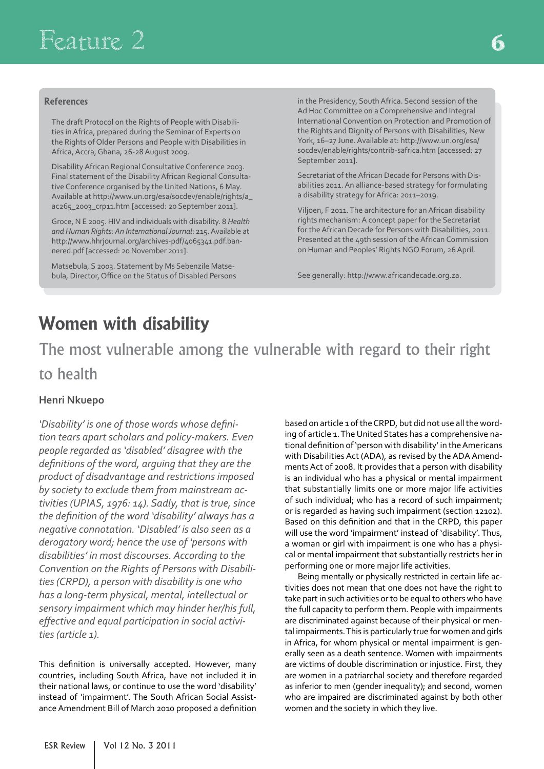#### **References**

The draft Protocol on the Rights of People with Disabilities in Africa, prepared during the Seminar of Experts on the Rights of Older Persons and People with Disabilities in Africa, Accra, Ghana, 26-28 August 2009.

Disability African Regional Consultative Conference 2003. Final statement of the Disability African Regional Consultative Conference organised by the United Nations, 6 May. Available at http://www.un.org/esa/socdev/enable/rights/a\_ ac265\_2003\_crp11.htm [accessed: 20 September 2011].

Groce, N E 2005. HIV and individuals with disability. 8 *Health and Human Rights: An International Journal*: 215. Available at http://www.hhrjournal.org/archives-pdf/4065341.pdf.bannered.pdf [accessed: 20 November 2011].

Matsebula, S 2003. Statement by Ms Sebenzile Matsebula, Director, Office on the Status of Disabled Persons in the Presidency, South Africa. Second session of the Ad Hoc Committee on a Comprehensive and Integral International Convention on Protection and Promotion of the Rights and Dignity of Persons with Disabilities, New York, 16–27 June. Available at: http://www.un.org/esa/ socdev/enable/rights/contrib-safrica.htm [accessed: 27 September 2011].

Secretariat of the African Decade for Persons with Disabilities 2011. An alliance-based strategy for formulating a disability strategy for Africa: 2011–2019.

Viljoen, F 2011. The architecture for an African disability rights mechanism: A concept paper for the Secretariat for the African Decade for Persons with Disabilities, 2011. Presented at the 49th session of the African Commission on Human and Peoples' Rights NGO Forum, 26 April.

See generally: http://www.africandecade.org.za.

## **Women with disability**

The most vulnerable among the vulnerable with regard to their right to health

#### **Henri Nkuepo**

*'Disability' is one of those words whose definition tears apart scholars and policy-makers. Even people regarded as 'disabled' disagree with the definitions of the word, arguing that they are the product of disadvantage and restrictions imposed by society to exclude them from mainstream activities (UPIAS, 1976: 14). Sadly, that is true, since the definition of the word 'disability' always has a negative connotation. 'Disabled' is also seen as a derogatory word; hence the use of 'persons with disabilities' in most discourses. According to the Convention on the Rights of Persons with Disabilities (CRPD), a person with disability is one who has a long-term physical, mental, intellectual or sensory impairment which may hinder her/his full, effective and equal participation in social activities (article 1).*

This definition is universally accepted. However, many countries, including South Africa, have not included it in their national laws, or continue to use the word 'disability' instead of 'impairment'. The South African Social Assistance Amendment Bill of March 2010 proposed a definition based on article 1 of the CRPD, but did not use all the wording of article 1. The United States has a comprehensive national definition of 'person with disability' in the Americans with Disabilities Act (ADA), as revised by the ADA Amendments Act of 2008. It provides that a person with disability is an individual who has a physical or mental impairment that substantially limits one or more major life activities of such individual; who has a record of such impairment; or is regarded as having such impairment (section 12102). Based on this definition and that in the CRPD, this paper will use the word 'impairment' instead of 'disability'. Thus, a woman or girl with impairment is one who has a physical or mental impairment that substantially restricts her in performing one or more major life activities.

Being mentally or physically restricted in certain life activities does not mean that one does not have the right to take part in such activities or to be equal to others who have the full capacity to perform them. People with impairments are discriminated against because of their physical or mental impairments. This is particularly true for women and girls in Africa, for whom physical or mental impairment is generally seen as a death sentence. Women with impairments are victims of double discrimination or injustice. First, they are women in a patriarchal society and therefore regarded as inferior to men (gender inequality); and second, women who are impaired are discriminated against by both other women and the society in which they live.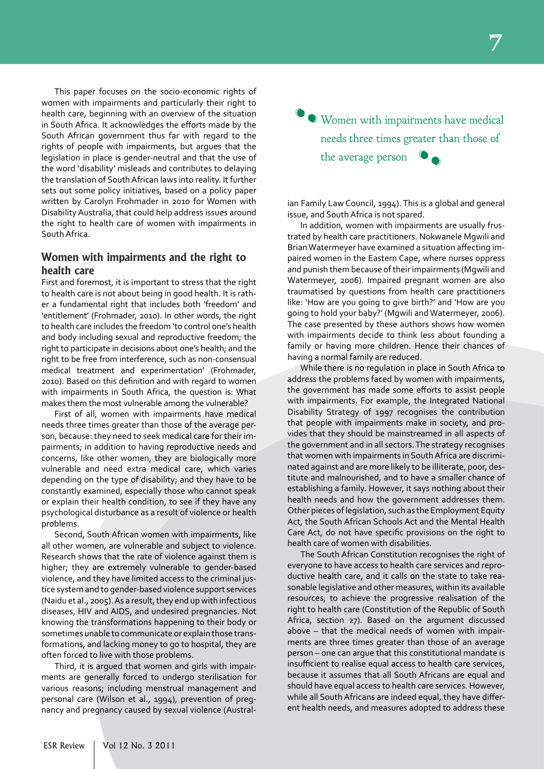This paper focuses on the socio-economic rights of women with impairments and particularly their right to health care, beginning with an overview of the situation in South Africa. It acknowledges the efforts made by the South African government thus far with regard to the rights of people with impairments, but argues that the legislation in place is gender-neutral and that the use of the word 'disability' misleads and contributes to delaying the translation of South African laws into reality. It further sets out some policy initiatives, based on a policy paper written by Carolyn Frohmader in 2010 for Women with Disability Australia, that could help address issues around the right to health care of women with impairments in South Africa.

#### **Women with impairments and the right to health care**

First and foremost, it is important to stress that the right to health care is not about being in good health. It is rather a fundamental right that includes both 'freedom' and 'entitlement' (Frohmader, 2010). In other words, the right to health care includes the freedom 'to control one's health and body including sexual and reproductive freedom; the right to participate in decisions about one's health; and the right to be free from interference, such as non-consensual medical treatment and experimentation' (Frohmader, 2010). Based on this definition and with regard to women with impairments in South Africa, the question is: What makes them the most vulnerable among the vulnerable?

First of all, women with impairments have medical needs three times greater than those of the average person, because: they need to seek medical care for their impairments; in addition to having reproductive needs and concerns, like other women, they are biologically more vulnerable and need extra medical care, which varies depending on the type of disability; and they have to be constantly examined, especially those who cannot speak or explain their health condition, to see if they have any psychological disturbance as a result of violence or health problems.

Second, South African women with impairments, like all other women, are vulnerable and subject to violence. Research shows that the rate of violence against them is higher; they are extremely vulnerable to gender-based violence, and they have limited access to the criminal justice system and to gender-based violence support services (Naidu et al., 2005). As a result, they end up with infectious diseases, HIV and AIDS, and undesired pregnancies. Not knowing the transformations happening to their body or sometimes unable to communicate or explain those transformations, and lacking money to go to hospital, they are often forced to live with those problems.

Third, it is argued that women and girls with impairments are generally forced to undergo sterilisation for various reasons; including menstrual management and personal care (Wilson et al., 1994), prevention of pregnancy and pregnancy caused by sexual violence (Austral-

' ' Women with impairments have medical ' needs three times greater than those of the average person '

ian Family Law Council, 1994). This is a global and general issue, and South Africa is not spared.

In addition, women with impairments are usually frustrated by health care practitioners. Nokwanele Mgwili and Brian Watermeyer have examined a situation affecting impaired women in the Eastern Cape, where nurses oppress and punish them because of their impairments (Mgwili and Watermeyer, 2006). Impaired pregnant women are also traumatised by questions from health care practitioners like: 'How are you going to give birth?' and 'How are you going to hold your baby?' (Mgwili and Watermeyer, 2006). The case presented by these authors shows how women with impairments decide to think less about founding a family or having more children. Hence their chances of having a normal family are reduced.

While there is no regulation in place in South Africa to address the problems faced by women with impairments, the government has made some efforts to assist people with impairments. For example, the Integrated National Disability Strategy of 1997 recognises the contribution that people with impairments make in society, and provides that they should be mainstreamed in all aspects of the government and in all sectors. The strategy recognises that women with impairments in South Africa are discriminated against and are more likely to be illiterate, poor, destitute and malnourished, and to have a smaller chance of establishing a family. However, it says nothing about their health needs and how the government addresses them. Other pieces of legislation, such as the Employment Equity Act, the South African Schools Act and the Mental Health Care Act, do not have specific provisions on the right to health care of women with disabilities.

The South African Constitution recognises the right of everyone to have access to health care services and reproductive health care, and it calls on the state to take reasonable legislative and other measures, within its available resources, to achieve the progressive realisation of the right to health care (Constitution of the Republic of South Africa, section 27). Based on the argument discussed above – that the medical needs of women with impairments are three times greater than those of an average person – one can argue that this constitutional mandate is insufficient to realise equal access to health care services, because it assumes that all South Africans are equal and should have equal access to health care services. However, while all South Africans are indeed equal, they have different health needs, and measures adopted to address these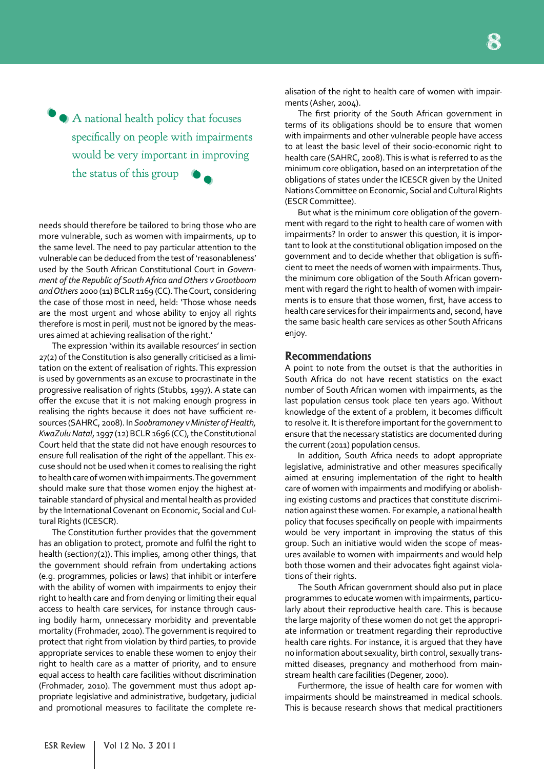A national health policy that focuses 'specifically on people with impairments would be very important in improving the status of this group ' **'** 

needs should therefore be tailored to bring those who are more vulnerable, such as women with impairments, up to the same level. The need to pay particular attention to the vulnerable can be deduced from the test of 'reasonableness' used by the South African Constitutional Court in *Government of the Republic of South Africa and Others v Grootboom and Others* 2000 (11) BCLR 1169 (CC). The Court, considering the case of those most in need, held: 'Those whose needs are the most urgent and whose ability to enjoy all rights therefore is most in peril, must not be ignored by the measures aimed at achieving realisation of the right.'

The expression 'within its available resources' in section 27(2) of the Constitution is also generally criticised as a limitation on the extent of realisation of rights. This expression is used by governments as an excuse to procrastinate in the progressive realisation of rights (Stubbs, 1997). A state can offer the excuse that it is not making enough progress in realising the rights because it does not have sufficient resources (SAHRC, 2008). In *Soobramoney v Minister of Health, KwaZulu Natal*, 1997 (12) BCLR 1696 (CC), the Constitutional Court held that the state did not have enough resources to ensure full realisation of the right of the appellant. This excuse should not be used when it comes to realising the right to health care of women with impairments. The government should make sure that those women enjoy the highest attainable standard of physical and mental health as provided by the International Covenant on Economic, Social and Cultural Rights (ICESCR).

The Constitution further provides that the government has an obligation to protect, promote and fulfil the right to health (section7(2)). This implies, among other things, that the government should refrain from undertaking actions (e.g. programmes, policies or laws) that inhibit or interfere with the ability of women with impairments to enjoy their right to health care and from denying or limiting their equal access to health care services, for instance through causing bodily harm, unnecessary morbidity and preventable mortality (Frohmader, 2010). The government is required to protect that right from violation by third parties, to provide appropriate services to enable these women to enjoy their right to health care as a matter of priority, and to ensure equal access to health care facilities without discrimination (Frohmader, 2010). The government must thus adopt appropriate legislative and administrative, budgetary, judicial and promotional measures to facilitate the complete realisation of the right to health care of women with impairments (Asher, 2004).

The first priority of the South African government in terms of its obligations should be to ensure that women with impairments and other vulnerable people have access to at least the basic level of their socio-economic right to health care (SAHRC, 2008). This is what is referred to as the minimum core obligation, based on an interpretation of the obligations of states under the ICESCR given by the United Nations Committee on Economic, Social and Cultural Rights (ESCR Committee).

But what is the minimum core obligation of the government with regard to the right to health care of women with impairments? In order to answer this question, it is important to look at the constitutional obligation imposed on the government and to decide whether that obligation is sufficient to meet the needs of women with impairments. Thus, the minimum core obligation of the South African government with regard the right to health of women with impairments is to ensure that those women, first, have access to health care services for their impairments and, second, have the same basic health care services as other South Africans enjoy.

#### **Recommendations**

A point to note from the outset is that the authorities in South Africa do not have recent statistics on the exact number of South African women with impairments, as the last population census took place ten years ago. Without knowledge of the extent of a problem, it becomes difficult to resolve it. It is therefore important for the government to ensure that the necessary statistics are documented during the current (2011) population census.

In addition, South Africa needs to adopt appropriate legislative, administrative and other measures specifically aimed at ensuring implementation of the right to health care of women with impairments and modifying or abolishing existing customs and practices that constitute discrimination against these women. For example, a national health policy that focuses specifically on people with impairments would be very important in improving the status of this group. Such an initiative would widen the scope of measures available to women with impairments and would help both those women and their advocates fight against violations of their rights.

The South African government should also put in place programmes to educate women with impairments, particularly about their reproductive health care. This is because the large majority of these women do not get the appropriate information or treatment regarding their reproductive health care rights. For instance, it is argued that they have no information about sexuality, birth control, sexually transmitted diseases, pregnancy and motherhood from mainstream health care facilities (Degener, 2000).

Furthermore, the issue of health care for women with impairments should be mainstreamed in medical schools. This is because research shows that medical practitioners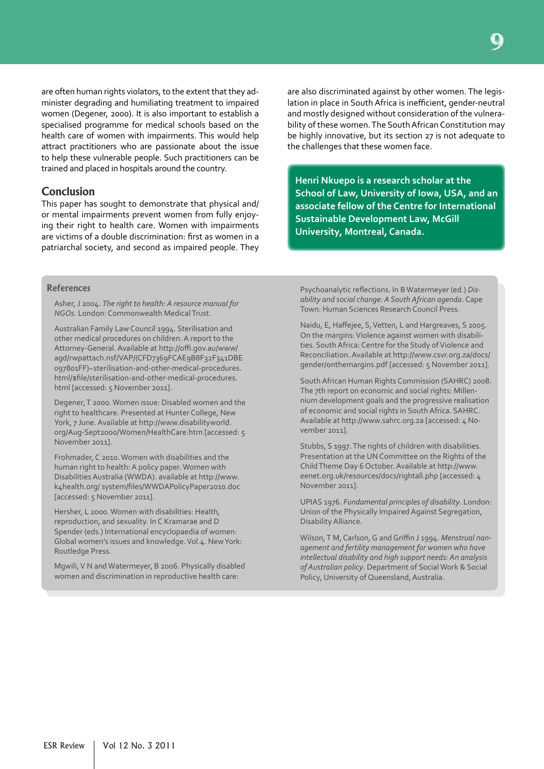are often human rights violators, to the extent that they administer degrading and humiliating treatment to impaired women (Degener, 2000). It is also important to establish a specialised programme for medical schools based on the health care of women with impairments. This would help attract practitioners who are passionate about the issue to help these vulnerable people. Such practitioners can be trained and placed in hospitals around the country.

#### **Conclusion**

This paper has sought to demonstrate that physical and/ or mental impairments prevent women from fully enjoying their right to health care. Women with impairments are victims of a double discrimination: first as women in a patriarchal society, and second as impaired people. They

are also discriminated against by other women. The legislation in place in South Africa is inefficient, gender-neutral and mostly designed without consideration of the vulnerability of these women. The South African Constitution may be highly innovative, but its section 27 is not adequate to the challenges that these women face.

**Henri Nkuepo is a research scholar at the School of Law, University of Iowa, USA, and an associate fellow of the Centre for International Sustainable Development Law, McGill University, Montreal, Canada.**

#### **References**

Asher, J 2004. *The right to health: A resource manual for NGOs*. London: Commonwealth Medical Trust.

Australian Family Law Council 1994. Sterilisation and other medical procedures on children. A report to the Attorney-General. Available at http://offi.gov.au/www/ agd/rwpattach.nsf/VAP/(CFD7369FCAE9B8F32F341DBE 097801FF)~sterilisation-and-other-medical-procedures. html/\$file/sterilisation-and-other-medical-procedures. html [accessed: 5 November 2011].

Degener, T 2000. Women issue: Disabled women and the right to healthcare. Presented at Hunter College, New York, 7 June. Available at http://www.disabilityworld. org/Aug-Sept2000/Women/HealthCare.htm [accessed: 5 November 2011].

Frohmader, C 2010. Women with disabilities and the human right to health: A policy paper. Women with Disabilities Australia (WWDA). available at http://www. k4health.org/ system/files/WWDAPolicyPaper2010.doc [accessed: 5 November 2011].

Hersher, L 2000. Women with disabilities: Health, reproduction, and sexuality. In C Kramarae and D Spender (eds.) International encyclopaedia of women: Global women's issues and knowledge. Vol.4. New York: Routledge Press.

Mgwili, V N and Watermeyer, B 2006. Physically disabled women and discrimination in reproductive health care:

Psychoanalytic reflections. In B Watermeyer (ed.) *Disability and social change: A South African agenda*. Cape Town: Human Sciences Research Council Press.

Naidu, E, Haffejee, S, Vetten, L and Hargreaves, S 2005. On the margins: Violence against women with disabilities. South Africa: Centre for the Study of Violence and Reconciliation. Available at http://www.csvr.org.za/docs/ gender/onthemargins.pdf [accessed: 5 November 2011].

South African Human Rights Commission (SAHRC) 2008. The 7th report on economic and social rights: Millennium development goals and the progressive realisation of economic and social rights in South Africa. SAHRC. Available at http://www.sahrc.org.za [accessed: 4 November 2011].

Stubbs, S 1997. The rights of children with disabilities. Presentation at the UN Committee on the Rights of the Child Theme Day 6 October. Available at http://www. eenet.org.uk/resources/docs/rightall.php [accessed: 4 November 2011].

UPIAS 1976. *Fundamental principles of disability*. London: Union of the Physically Impaired Against Segregation, Disability Alliance.

Wilson, T M, Carlson, G and Griffin J 1994. *Menstrual nanagement and fertility management for women who have intellectual disability and high support needs: An analysis of Australian policy*. Department of Social Work & Social Policy, University of Queensland, Australia.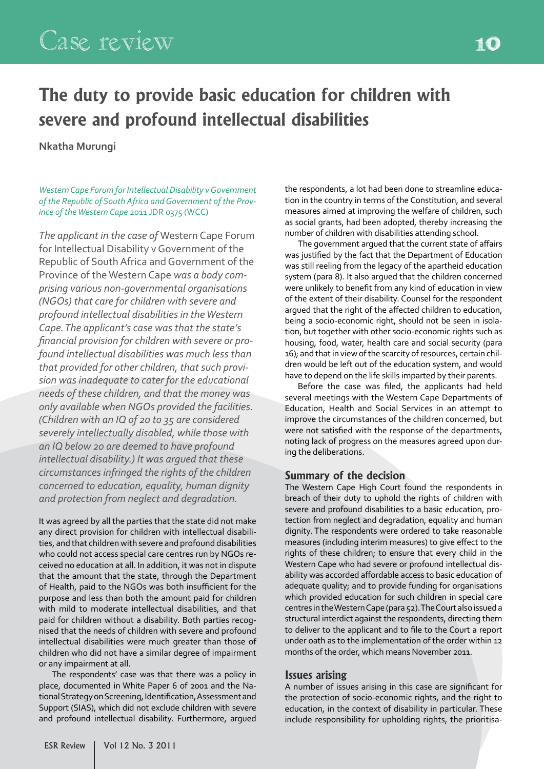# **The duty to provide basic education for children with severe and profound intellectual disabilities**

#### **Nkatha Murungi**

*Western Cape Forum for Intellectual Disability v Government of the Republic of South Africa and Government of the Province of the Western Cape* 2011 JDR 0375 (WCC)

*The applicant in the case of* Western Cape Forum for Intellectual Disability v Government of the Republic of South Africa and Government of the Province of the Western Cape *was a body comprising various non-governmental organisations (NGOs) that care for children with severe and profound intellectual disabilities in the Western Cape. The applicant's case was that the state's financial provision for children with severe or profound intellectual disabilities was much less than that provided for other children, that such provision was inadequate to cater for the educational needs of these children, and that the money was only available when NGOs provided the facilities. (Children with an IQ of 20 to 35 are considered severely intellectually disabled, while those with an IQ below 20 are deemed to have profound intellectual disability.) It was argued that these circumstances infringed the rights of the children concerned to education, equality, human dignity and protection from neglect and degradation.*

It was agreed by all the parties that the state did not make any direct provision for children with intellectual disabilities, and that children with severe and profound disabilities who could not access special care centres run by NGOs received no education at all. In addition, it was not in dispute that the amount that the state, through the Department of Health, paid to the NGOs was both insufficient for the purpose and less than both the amount paid for children with mild to moderate intellectual disabilities, and that paid for children without a disability. Both parties recognised that the needs of children with severe and profound intellectual disabilities were much greater than those of children who did not have a similar degree of impairment or any impairment at all.

The respondents' case was that there was a policy in place, documented in White Paper 6 of 2001 and the National Strategy on Screening, Identification, Assessment and Support (SIAS), which did not exclude children with severe and profound intellectual disability. Furthermore, argued

the respondents, a lot had been done to streamline education in the country in terms of the Constitution, and several measures aimed at improving the welfare of children, such as social grants, had been adopted, thereby increasing the number of children with disabilities attending school.

The government argued that the current state of affairs was justified by the fact that the Department of Education was still reeling from the legacy of the apartheid education system (para 8). It also argued that the children concerned were unlikely to benefit from any kind of education in view of the extent of their disability. Counsel for the respondent argued that the right of the affected children to education, being a socio-economic right, should not be seen in isolation, but together with other socio-economic rights such as housing, food, water, health care and social security (para 16); and that in view of the scarcity of resources, certain children would be left out of the education system, and would have to depend on the life skills imparted by their parents.

Before the case was filed, the applicants had held several meetings with the Western Cape Departments of Education, Health and Social Services in an attempt to improve the circumstances of the children concerned, but were not satisfied with the response of the departments, noting lack of progress on the measures agreed upon during the deliberations.

#### **Summary of the decision**

The Western Cape High Court found the respondents in breach of their duty to uphold the rights of children with severe and profound disabilities to a basic education, protection from neglect and degradation, equality and human dignity. The respondents were ordered to take reasonable measures (including interim measures) to give effect to the rights of these children; to ensure that every child in the Western Cape who had severe or profound intellectual disability was accorded affordable access to basic education of adequate quality; and to provide funding for organisations which provided education for such children in special care centres in the Western Cape (para 52). The Court also issued a structural interdict against the respondents, directing them to deliver to the applicant and to file to the Court a report under oath as to the implementation of the order within 12 months of the order, which means November 2011.

#### **Issues arising**

A number of issues arising in this case are significant for the protection of socio-economic rights, and the right to education, in the context of disability in particular. These include responsibility for upholding rights, the prioritisa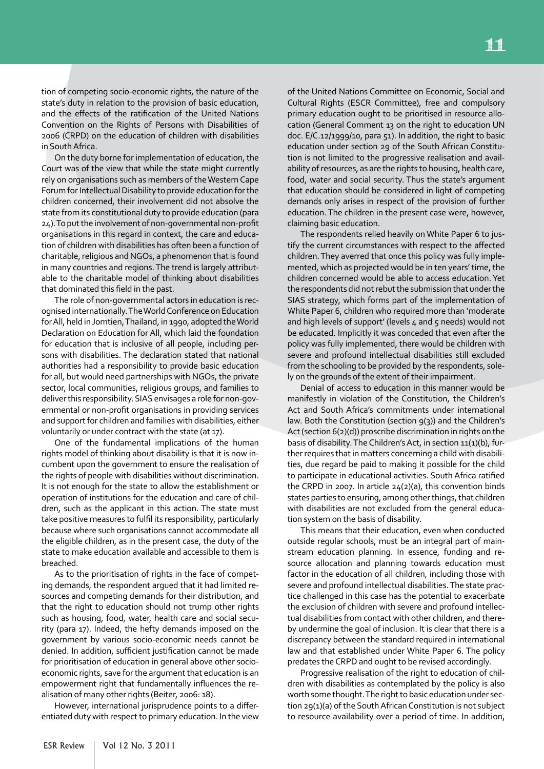tion of competing socio-economic rights, the nature of the state's duty in relation to the provision of basic education, and the effects of the ratification of the United Nations Convention on the Rights of Persons with Disabilities of 2006 (CRPD) on the education of children with disabilities in South Africa.

On the duty borne for implementation of education, the Court was of the view that while the state might currently rely on organisations such as members of the Western Cape Forum for Intellectual Disability to provide education for the children concerned, their involvement did not absolve the state from its constitutional duty to provide education (para 24). To put the involvement of non-governmental non-profit organisations in this regard in context, the care and education of children with disabilities has often been a function of charitable, religious and NGOs, a phenomenon that is found in many countries and regions. The trend is largely attributable to the charitable model of thinking about disabilities that dominated this field in the past.

The role of non-governmental actors in education is recognised internationally. The World Conference on Education for All, held in Jomtien, Thailand, in 1990, adopted the World Declaration on Education for All, which laid the foundation for education that is inclusive of all people, including persons with disabilities. The declaration stated that national authorities had a responsibility to provide basic education for all, but would need partnerships with NGOs, the private sector, local communities, religious groups, and families to deliver this responsibility. SIAS envisages a role for non-governmental or non-profit organisations in providing services and support for children and families with disabilities, either voluntarily or under contract with the state (at 17).

One of the fundamental implications of the human rights model of thinking about disability is that it is now incumbent upon the government to ensure the realisation of the rights of people with disabilities without discrimination. It is not enough for the state to allow the establishment or operation of institutions for the education and care of children, such as the applicant in this action. The state must take positive measures to fulfil its responsibility, particularly because where such organisations cannot accommodate all the eligible children, as in the present case, the duty of the state to make education available and accessible to them is breached.

As to the prioritisation of rights in the face of competing demands, the respondent argued that it had limited resources and competing demands for their distribution, and that the right to education should not trump other rights such as housing, food, water, health care and social security (para 17). Indeed, the hefty demands imposed on the government by various socio-economic needs cannot be denied. In addition, sufficient justification cannot be made for prioritisation of education in general above other socioeconomic rights, save for the argument that education is an empowerment right that fundamentally influences the realisation of many other rights (Beiter, 2006: 18).

However, international jurisprudence points to a differentiated duty with respect to primary education. In the view

of the United Nations Committee on Economic, Social and Cultural Rights (ESCR Committee), free and compulsory primary education ought to be prioritised in resource allocation (General Comment 13 on the right to education UN doc. E/C.12/1999/10, para 51). In addition, the right to basic education under section 29 of the South African Constitution is not limited to the progressive realisation and availability of resources, as are the rights to housing, health care, food, water and social security. Thus the state's argument that education should be considered in light of competing demands only arises in respect of the provision of further education. The children in the present case were, however, claiming basic education.

The respondents relied heavily on White Paper 6 to justify the current circumstances with respect to the affected children. They averred that once this policy was fully implemented, which as projected would be in ten years' time, the children concerned would be able to access education. Yet the respondents did not rebut the submission that under the SIAS strategy, which forms part of the implementation of White Paper 6, children who required more than 'moderate and high levels of support' (levels  $4$  and  $5$  needs) would not be educated. Implicitly it was conceded that even after the policy was fully implemented, there would be children with severe and profound intellectual disabilities still excluded from the schooling to be provided by the respondents, solely on the grounds of the extent of their impairment.

Denial of access to education in this manner would be manifestly in violation of the Constitution, the Children's Act and South Africa's commitments under international law. Both the Constitution (section 9(3)) and the Children's Act (section 6(2)(d)) proscribe discrimination in rights on the basis of disability. The Children's Act, in section 11(1)(b), further requires that in matters concerning a child with disabilities, due regard be paid to making it possible for the child to participate in educational activities. South Africa ratified the CRPD in 2007. In article 24(2)(a), this convention binds states parties to ensuring, among other things, that children with disabilities are not excluded from the general education system on the basis of disability.

This means that their education, even when conducted outside regular schools, must be an integral part of mainstream education planning. In essence, funding and resource allocation and planning towards education must factor in the education of all children, including those with severe and profound intellectual disabilities. The state practice challenged in this case has the potential to exacerbate the exclusion of children with severe and profound intellectual disabilities from contact with other children, and thereby undermine the goal of inclusion. It is clear that there is a discrepancy between the standard required in international law and that established under White Paper 6. The policy predates the CRPD and ought to be revised accordingly.

Progressive realisation of the right to education of children with disabilities as contemplated by the policy is also worth some thought. The right to basic education under section 29(1)(a) of the South African Constitution is not subject to resource availability over a period of time. In addition,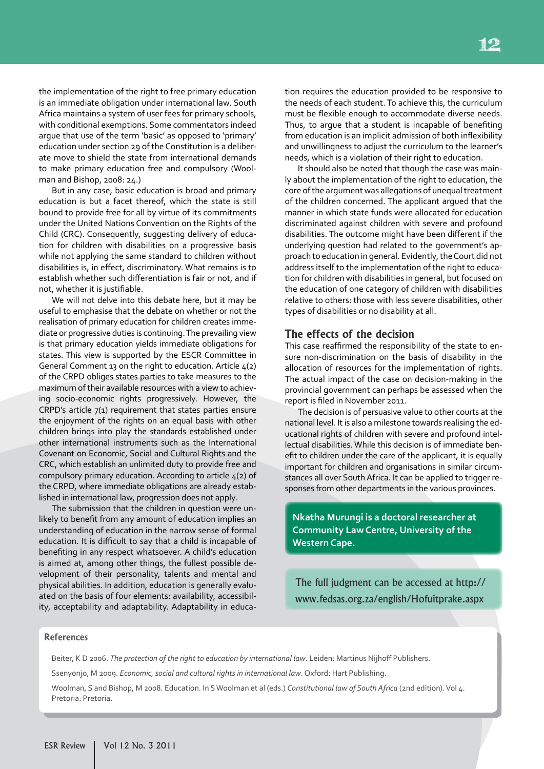the implementation of the right to free primary education is an immediate obligation under international law. South Africa maintains a system of user fees for primary schools, with conditional exemptions. Some commentators indeed argue that use of the term 'basic' as opposed to 'primary' education under section 29 of the Constitution is a deliberate move to shield the state from international demands to make primary education free and compulsory (Woolman and Bishop, 2008: 24.)

But in any case, basic education is broad and primary education is but a facet thereof, which the state is still bound to provide free for all by virtue of its commitments under the United Nations Convention on the Rights of the Child (CRC). Consequently, suggesting delivery of education for children with disabilities on a progressive basis while not applying the same standard to children without disabilities is, in effect, discriminatory. What remains is to establish whether such differentiation is fair or not, and if not, whether it is justifiable.

We will not delve into this debate here, but it may be useful to emphasise that the debate on whether or not the realisation of primary education for children creates immediate or progressive duties is continuing. The prevailing view is that primary education yields immediate obligations for states. This view is supported by the ESCR Committee in General Comment 13 on the right to education. Article  $4(2)$ of the CRPD obliges states parties to take measures to the maximum of their available resources with a view to achieving socio-economic rights progressively. However, the CRPD's article 7(1) requirement that states parties ensure the enjoyment of the rights on an equal basis with other children brings into play the standards established under other international instruments such as the International Covenant on Economic, Social and Cultural Rights and the CRC, which establish an unlimited duty to provide free and compulsory primary education. According to article 4(2) of the CRPD, where immediate obligations are already established in international law, progression does not apply.

The submission that the children in question were unlikely to benefit from any amount of education implies an understanding of education in the narrow sense of formal education. It is difficult to say that a child is incapable of benefiting in any respect whatsoever. A child's education is aimed at, among other things, the fullest possible development of their personality, talents and mental and physical abilities. In addition, education is generally evaluated on the basis of four elements: availability, accessibility, acceptability and adaptability. Adaptability in education requires the education provided to be responsive to the needs of each student. To achieve this, the curriculum must be flexible enough to accommodate diverse needs. Thus, to argue that a student is incapable of benefiting from education is an implicit admission of both inflexibility and unwillingness to adjust the curriculum to the learner's needs, which is a violation of their right to education.

It should also be noted that though the case was mainly about the implementation of the right to education, the core of the argument was allegations of unequal treatment of the children concerned. The applicant argued that the manner in which state funds were allocated for education discriminated against children with severe and profound disabilities. The outcome might have been different if the underlying question had related to the government's approach to education in general. Evidently, the Court did not address itself to the implementation of the right to education for children with disabilities in general, but focused on the education of one category of children with disabilities relative to others: those with less severe disabilities, other types of disabilities or no disability at all.

#### **The effects of the decision**

This case reaffirmed the responsibility of the state to ensure non-discrimination on the basis of disability in the allocation of resources for the implementation of rights. The actual impact of the case on decision-making in the provincial government can perhaps be assessed when the report is filed in November 2011.

The decision is of persuasive value to other courts at the national level. It is also a milestone towards realising the educational rights of children with severe and profound intellectual disabilities. While this decision is of immediate benefit to children under the care of the applicant, it is equally important for children and organisations in similar circumstances all over South Africa. It can be applied to trigger responses from other departments in the various provinces.

**Nkatha Murungi is a doctoral researcher at Community Law Centre, University of the Western Cape.**

The full judgment can be accessed at http:// www.fedsas.org.za/english/Hofuitprake.aspx

#### **References**

Beiter, K D 2006. *The protection of the right to education by international law*. Leiden: Martinus Nijhoff Publishers.

Ssenyonjo, M 2009. *Economic, social and cultural rights in international law*. Oxford: Hart Publishing.

Woolman, S and Bishop, M 2008. Education. In S Woolman et al (eds.) *Constitutional law of South Africa* (2nd edition). Vol 4. Pretoria: Pretoria.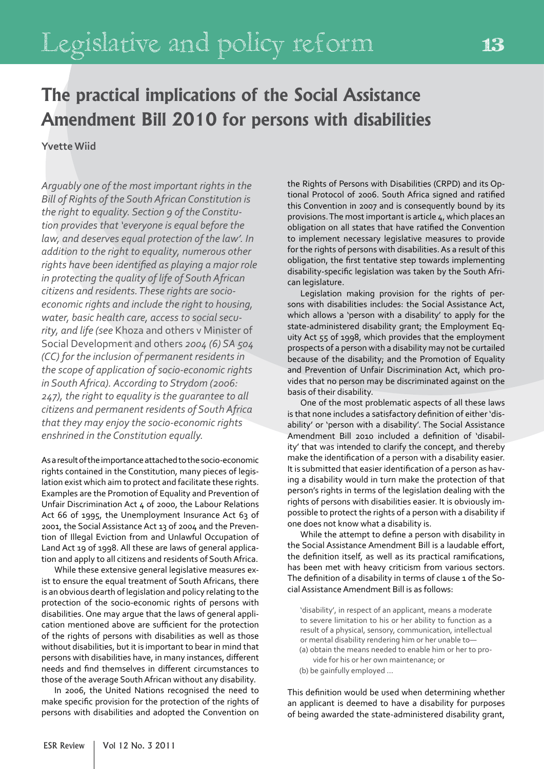# **The practical implications of the Social Assistance Amendment Bill 2010 for persons with disabilities**

#### **Yvette Wiid**

*Arguably one of the most important rights in the Bill of Rights of the South African Constitution is the right to equality. Section 9 of the Constitution provides that 'everyone is equal before the law, and deserves equal protection of the law'. In addition to the right to equality, numerous other rights have been identified as playing a major role in protecting the quality of life of South African citizens and residents. These rights are socioeconomic rights and include the right to housing, water, basic health care, access to social security, and life (see* Khoza and others v Minister of Social Development and others *2004 (6) SA 504 (CC) for the inclusion of permanent residents in the scope of application of socio-economic rights in South Africa). According to Strydom (2006: 247), the right to equality is the guarantee to all citizens and permanent residents of South Africa that they may enjoy the socio-economic rights enshrined in the Constitution equally.*

As a result of the importance attached to the socio-economic rights contained in the Constitution, many pieces of legislation exist which aim to protect and facilitate these rights. Examples are the Promotion of Equality and Prevention of Unfair Discrimination Act 4 of 2000, the Labour Relations Act 66 of 1995, the Unemployment Insurance Act 63 of 2001, the Social Assistance Act 13 of 2004 and the Prevention of Illegal Eviction from and Unlawful Occupation of Land Act 19 of 1998. All these are laws of general application and apply to all citizens and residents of South Africa.

While these extensive general legislative measures exist to ensure the equal treatment of South Africans, there is an obvious dearth of legislation and policy relating to the protection of the socio-economic rights of persons with disabilities. One may argue that the laws of general application mentioned above are sufficient for the protection of the rights of persons with disabilities as well as those without disabilities, but it is important to bear in mind that persons with disabilities have, in many instances, different needs and find themselves in different circumstances to those of the average South African without any disability.

In 2006, the United Nations recognised the need to make specific provision for the protection of the rights of persons with disabilities and adopted the Convention on the Rights of Persons with Disabilities (CRPD) and its Optional Protocol of 2006. South Africa signed and ratified this Convention in 2007 and is consequently bound by its provisions. The most important is article 4, which places an obligation on all states that have ratified the Convention to implement necessary legislative measures to provide for the rights of persons with disabilities. As a result of this obligation, the first tentative step towards implementing disability-specific legislation was taken by the South African legislature.

Legislation making provision for the rights of persons with disabilities includes: the Social Assistance Act, which allows a 'person with a disability' to apply for the state-administered disability grant; the Employment Equity Act 55 of 1998, which provides that the employment prospects of a person with a disability may not be curtailed because of the disability; and the Promotion of Equality and Prevention of Unfair Discrimination Act, which provides that no person may be discriminated against on the basis of their disability.

One of the most problematic aspects of all these laws is that none includes a satisfactory definition of either 'disability' or 'person with a disability'. The Social Assistance Amendment Bill 2010 included a definition of 'disability' that was intended to clarify the concept, and thereby make the identification of a person with a disability easier. It is submitted that easier identification of a person as having a disability would in turn make the protection of that person's rights in terms of the legislation dealing with the rights of persons with disabilities easier. It is obviously impossible to protect the rights of a person with a disability if one does not know what a disability is.

While the attempt to define a person with disability in the Social Assistance Amendment Bill is a laudable effort, the definition itself, as well as its practical ramifications, has been met with heavy criticism from various sectors. The definition of a disability in terms of clause 1 of the Social Assistance Amendment Bill is as follows:

'disability', in respect of an applicant, means a moderate to severe limitation to his or her ability to function as a result of a physical, sensory, communication, intellectual or mental disability rendering him or her unable to— (a) obtain the means needed to enable him or her to provide for his or her own maintenance; or

(b) be gainfully employed …

This definition would be used when determining whether an applicant is deemed to have a disability for purposes of being awarded the state-administered disability grant,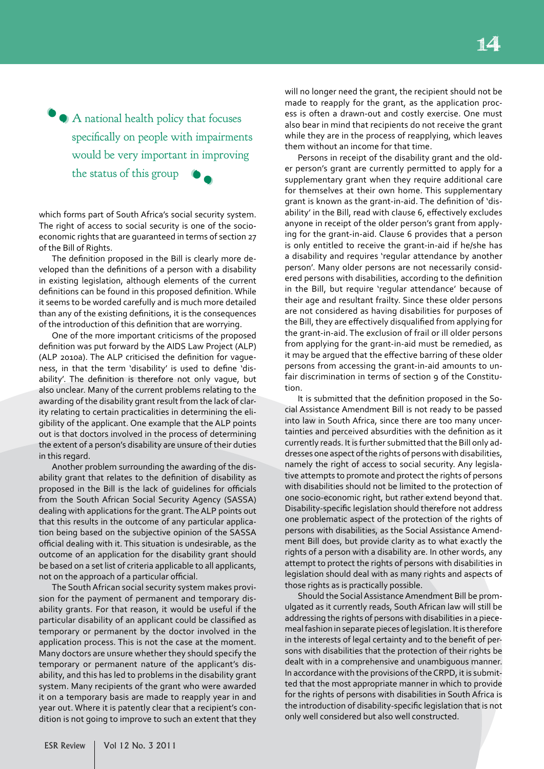A national health policy that focuses 'specifically on people with impairments would be very important in improving the status of this group ' **'** 

which forms part of South Africa's social security system. The right of access to social security is one of the socioeconomic rights that are guaranteed in terms of section 27 of the Bill of Rights.

The definition proposed in the Bill is clearly more developed than the definitions of a person with a disability in existing legislation, although elements of the current definitions can be found in this proposed definition. While it seems to be worded carefully and is much more detailed than any of the existing definitions, it is the consequences of the introduction of this definition that are worrying.

One of the more important criticisms of the proposed definition was put forward by the AIDS Law Project (ALP) (ALP 2010a). The ALP criticised the definition for vagueness, in that the term 'disability' is used to define 'disability'. The definition is therefore not only vague, but also unclear. Many of the current problems relating to the awarding of the disability grant result from the lack of clarity relating to certain practicalities in determining the eligibility of the applicant. One example that the ALP points out is that doctors involved in the process of determining the extent of a person's disability are unsure of their duties in this regard.

Another problem surrounding the awarding of the disability grant that relates to the definition of disability as proposed in the Bill is the lack of guidelines for officials from the South African Social Security Agency (SASSA) dealing with applications for the grant. The ALP points out that this results in the outcome of any particular application being based on the subjective opinion of the SASSA official dealing with it. This situation is undesirable, as the outcome of an application for the disability grant should be based on a set list of criteria applicable to all applicants, not on the approach of a particular official.

The South African social security system makes provision for the payment of permanent and temporary disability grants. For that reason, it would be useful if the particular disability of an applicant could be classified as temporary or permanent by the doctor involved in the application process. This is not the case at the moment. Many doctors are unsure whether they should specify the temporary or permanent nature of the applicant's disability, and this has led to problems in the disability grant system. Many recipients of the grant who were awarded it on a temporary basis are made to reapply year in and year out. Where it is patently clear that a recipient's condition is not going to improve to such an extent that they will no longer need the grant, the recipient should not be made to reapply for the grant, as the application process is often a drawn-out and costly exercise. One must also bear in mind that recipients do not receive the grant while they are in the process of reapplying, which leaves them without an income for that time.

Persons in receipt of the disability grant and the older person's grant are currently permitted to apply for a supplementary grant when they require additional care for themselves at their own home. This supplementary grant is known as the grant-in-aid. The definition of 'disability' in the Bill, read with clause 6, effectively excludes anyone in receipt of the older person's grant from applying for the grant-in-aid. Clause 6 provides that a person is only entitled to receive the grant-in-aid if he/she has a disability and requires 'regular attendance by another person'. Many older persons are not necessarily considered persons with disabilities, according to the definition in the Bill, but require 'regular attendance' because of their age and resultant frailty. Since these older persons are not considered as having disabilities for purposes of the Bill, they are effectively disqualified from applying for the grant-in-aid. The exclusion of frail or ill older persons from applying for the grant-in-aid must be remedied, as it may be argued that the effective barring of these older persons from accessing the grant-in-aid amounts to unfair discrimination in terms of section 9 of the Constitution.

It is submitted that the definition proposed in the Social Assistance Amendment Bill is not ready to be passed into law in South Africa, since there are too many uncertainties and perceived absurdities with the definition as it currently reads. It is further submitted that the Bill only addresses one aspect of the rights of persons with disabilities, namely the right of access to social security. Any legislative attempts to promote and protect the rights of persons with disabilities should not be limited to the protection of one socio-economic right, but rather extend beyond that. Disability-specific legislation should therefore not address one problematic aspect of the protection of the rights of persons with disabilities, as the Social Assistance Amendment Bill does, but provide clarity as to what exactly the rights of a person with a disability are. In other words, any attempt to protect the rights of persons with disabilities in legislation should deal with as many rights and aspects of those rights as is practically possible.

Should the Social Assistance Amendment Bill be promulgated as it currently reads, South African law will still be addressing the rights of persons with disabilities in a piecemeal fashion in separate pieces of legislation. It is therefore in the interests of legal certainty and to the benefit of persons with disabilities that the protection of their rights be dealt with in a comprehensive and unambiguous manner. In accordance with the provisions of the CRPD, it is submitted that the most appropriate manner in which to provide for the rights of persons with disabilities in South Africa is the introduction of disability-specific legislation that is not only well considered but also well constructed.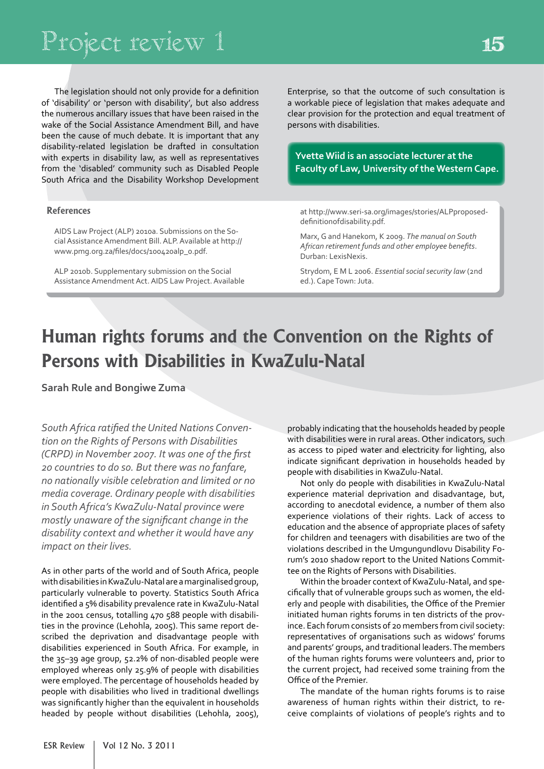The legislation should not only provide for a definition of 'disability' or 'person with disability', but also address the numerous ancillary issues that have been raised in the wake of the Social Assistance Amendment Bill, and have been the cause of much debate. It is important that any disability-related legislation be drafted in consultation with experts in disability law, as well as representatives from the 'disabled' community such as Disabled People South Africa and the Disability Workshop Development

#### **References**

AIDS Law Project (ALP) 2010a. Submissions on the Social Assistance Amendment Bill. ALP. Available at http:// www.pmg.org.za/files/docs/100420alp\_0.pdf.

ALP 2010b. Supplementary submission on the Social Assistance Amendment Act. AIDS Law Project. Available Enterprise, so that the outcome of such consultation is a workable piece of legislation that makes adequate and clear provision for the protection and equal treatment of persons with disabilities.

**Yvette Wiid is an associate lecturer at the Faculty of Law, University of the Western Cape.**

at http://www.seri-sa.org/images/stories/ALPproposeddefinitionofdisability.pdf.

Marx, G and Hanekom, K 2009. *The manual on South African retirement funds and other employee benefits*. Durban: LexisNexis.

Strydom, E M L 2006. *Essential social security law* (2nd ed.). Cape Town: Juta.

# **Human rights forums and the Convention on the Rights of Persons with Disabilities in KwaZulu-Natal**

**Sarah Rule and Bongiwe Zuma**

*South Africa ratified the United Nations Convention on the Rights of Persons with Disabilities (CRPD) in November 2007. It was one of the first 20 countries to do so. But there was no fanfare, no nationally visible celebration and limited or no media coverage. Ordinary people with disabilities in South Africa's KwaZulu-Natal province were mostly unaware of the significant change in the disability context and whether it would have any impact on their lives.*

As in other parts of the world and of South Africa, people with disabilities in KwaZulu-Natal are a marginalised group, particularly vulnerable to poverty. Statistics South Africa identified a 5% disability prevalence rate in KwaZulu-Natal in the 2001 census, totalling 470 588 people with disabilities in the province (Lehohla, 2005). This same report described the deprivation and disadvantage people with disabilities experienced in South Africa. For example, in the 35–39 age group, 52.2% of non-disabled people were employed whereas only 25.9% of people with disabilities were employed. The percentage of households headed by people with disabilities who lived in traditional dwellings was significantly higher than the equivalent in households headed by people without disabilities (Lehohla, 2005), probably indicating that the households headed by people with disabilities were in rural areas. Other indicators, such as access to piped water and electricity for lighting, also indicate significant deprivation in households headed by people with disabilities in KwaZulu-Natal.

Not only do people with disabilities in KwaZulu-Natal experience material deprivation and disadvantage, but, according to anecdotal evidence, a number of them also experience violations of their rights. Lack of access to education and the absence of appropriate places of safety for children and teenagers with disabilities are two of the violations described in the Umgungundlovu Disability Forum's 2010 shadow report to the United Nations Committee on the Rights of Persons with Disabilities.

Within the broader context of KwaZulu-Natal, and specifically that of vulnerable groups such as women, the elderly and people with disabilities, the Office of the Premier initiated human rights forums in ten districts of the province. Each forum consists of 20 members from civil society: representatives of organisations such as widows' forums and parents' groups, and traditional leaders. The members of the human rights forums were volunteers and, prior to the current project, had received some training from the Office of the Premier.

The mandate of the human rights forums is to raise awareness of human rights within their district, to receive complaints of violations of people's rights and to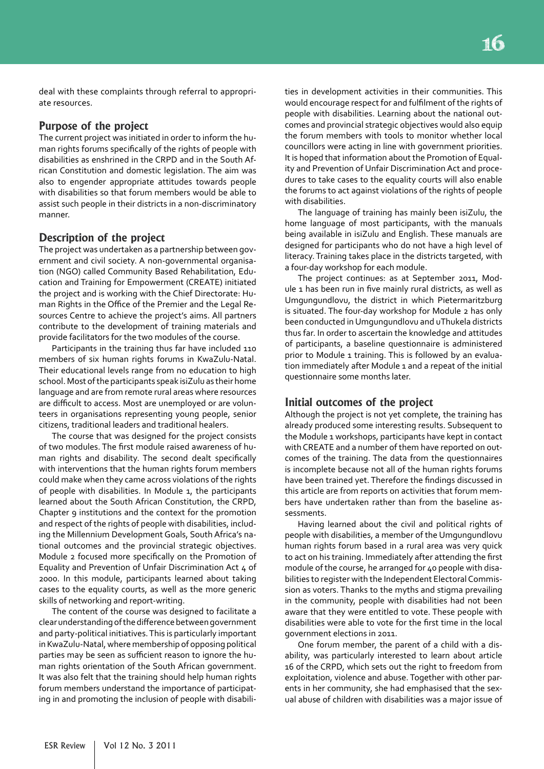deal with these complaints through referral to appropriate resources.

#### **Purpose of the project**

The current project was initiated in order to inform the human rights forums specifically of the rights of people with disabilities as enshrined in the CRPD and in the South African Constitution and domestic legislation. The aim was also to engender appropriate attitudes towards people with disabilities so that forum members would be able to assist such people in their districts in a non-discriminatory manner.

#### **Description of the project**

The project was undertaken as a partnership between government and civil society. A non-governmental organisation (NGO) called Community Based Rehabilitation, Education and Training for Empowerment (CREATE) initiated the project and is working with the Chief Directorate: Human Rights in the Office of the Premier and the Legal Resources Centre to achieve the project's aims. All partners contribute to the development of training materials and provide facilitators for the two modules of the course.

Participants in the training thus far have included 110 members of six human rights forums in KwaZulu-Natal. Their educational levels range from no education to high school. Most of the participants speak isiZulu as their home language and are from remote rural areas where resources are difficult to access. Most are unemployed or are volunteers in organisations representing young people, senior citizens, traditional leaders and traditional healers.

The course that was designed for the project consists of two modules. The first module raised awareness of human rights and disability. The second dealt specifically with interventions that the human rights forum members could make when they came across violations of the rights of people with disabilities. In Module 1, the participants learned about the South African Constitution, the CRPD, Chapter 9 institutions and the context for the promotion and respect of the rights of people with disabilities, including the Millennium Development Goals, South Africa's national outcomes and the provincial strategic objectives. Module 2 focused more specifically on the Promotion of Equality and Prevention of Unfair Discrimination Act 4 of 2000. In this module, participants learned about taking cases to the equality courts, as well as the more generic skills of networking and report-writing.

The content of the course was designed to facilitate a clear understanding of the difference between government and party-political initiatives. This is particularly important in KwaZulu-Natal, where membership of opposing political parties may be seen as sufficient reason to ignore the human rights orientation of the South African government. It was also felt that the training should help human rights forum members understand the importance of participating in and promoting the inclusion of people with disabilities in development activities in their communities. This would encourage respect for and fulfilment of the rights of people with disabilities. Learning about the national outcomes and provincial strategic objectives would also equip the forum members with tools to monitor whether local councillors were acting in line with government priorities. It is hoped that information about the Promotion of Equality and Prevention of Unfair Discrimination Act and procedures to take cases to the equality courts will also enable the forums to act against violations of the rights of people with disabilities.

The language of training has mainly been isiZulu, the home language of most participants, with the manuals being available in isiZulu and English. These manuals are designed for participants who do not have a high level of literacy. Training takes place in the districts targeted, with a four-day workshop for each module.

The project continues: as at September 2011, Module 1 has been run in five mainly rural districts, as well as Umgungundlovu, the district in which Pietermaritzburg is situated. The four-day workshop for Module 2 has only been conducted in Umgungundlovu and uThukela districts thus far. In order to ascertain the knowledge and attitudes of participants, a baseline questionnaire is administered prior to Module 1 training. This is followed by an evaluation immediately after Module 1 and a repeat of the initial questionnaire some months later.

#### **Initial outcomes of the project**

Although the project is not yet complete, the training has already produced some interesting results. Subsequent to the Module 1 workshops, participants have kept in contact with CREATE and a number of them have reported on outcomes of the training. The data from the questionnaires is incomplete because not all of the human rights forums have been trained yet. Therefore the findings discussed in this article are from reports on activities that forum members have undertaken rather than from the baseline assessments.

Having learned about the civil and political rights of people with disabilities, a member of the Umgungundlovu human rights forum based in a rural area was very quick to act on his training. Immediately after attending the first module of the course, he arranged for 40 people with disabilities to register with the Independent Electoral Commission as voters. Thanks to the myths and stigma prevailing in the community, people with disabilities had not been aware that they were entitled to vote. These people with disabilities were able to vote for the first time in the local government elections in 2011.

One forum member, the parent of a child with a disability, was particularly interested to learn about article 16 of the CRPD, which sets out the right to freedom from exploitation, violence and abuse. Together with other parents in her community, she had emphasised that the sexual abuse of children with disabilities was a major issue of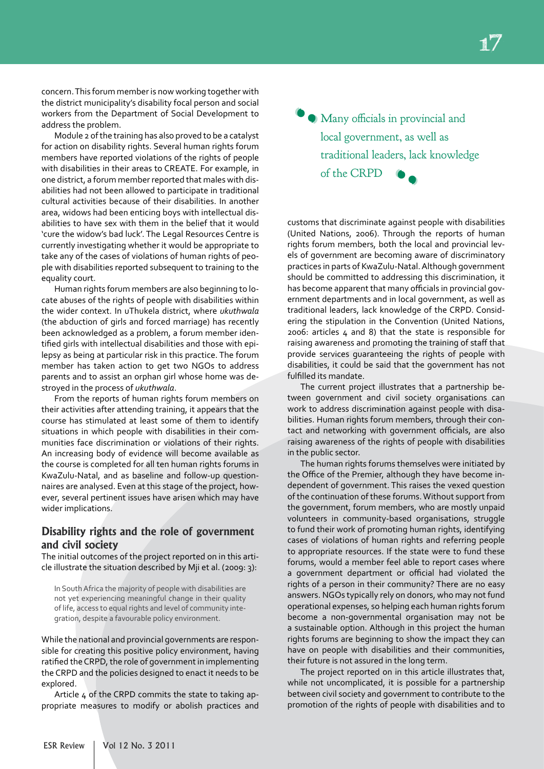concern. This forum member is now working together with the district municipality's disability focal person and social workers from the Department of Social Development to address the problem.

Module 2 of the training has also proved to be a catalyst for action on disability rights. Several human rights forum members have reported violations of the rights of people with disabilities in their areas to CREATE. For example, in one district, a forum member reported that males with disabilities had not been allowed to participate in traditional cultural activities because of their disabilities. In another area, widows had been enticing boys with intellectual disabilities to have sex with them in the belief that it would 'cure the widow's bad luck'. The Legal Resources Centre is currently investigating whether it would be appropriate to take any of the cases of violations of human rights of people with disabilities reported subsequent to training to the equality court.

Human rights forum members are also beginning to locate abuses of the rights of people with disabilities within the wider context. In uThukela district, where *ukuthwala* (the abduction of girls and forced marriage) has recently been acknowledged as a problem, a forum member identified girls with intellectual disabilities and those with epilepsy as being at particular risk in this practice. The forum member has taken action to get two NGOs to address parents and to assist an orphan girl whose home was destroyed in the process of *ukuthwala*.

From the reports of human rights forum members on their activities after attending training, it appears that the course has stimulated at least some of them to identify situations in which people with disabilities in their communities face discrimination or violations of their rights. An increasing body of evidence will become available as the course is completed for all ten human rights forums in KwaZulu-Natal, and as baseline and follow-up questionnaires are analysed. Even at this stage of the project, however, several pertinent issues have arisen which may have wider implications.

#### **Disability rights and the role of government and civil society**

The initial outcomes of the project reported on in this article illustrate the situation described by Mji et al. (2009: 3):

In South Africa the majority of people with disabilities are not yet experiencing meaningful change in their quality of life, access to equal rights and level of community integration, despite a favourable policy environment.

While the national and provincial governments are responsible for creating this positive policy environment, having ratified the CRPD, the role of government in implementing the CRPD and the policies designed to enact it needs to be explored.

Article 4 of the CRPD commits the state to taking appropriate measures to modify or abolish practices and

Many officials in provincial and 'local government, as well as traditional leaders, lack knowledge of the CRPD ' '

customs that discriminate against people with disabilities (United Nations, 2006). Through the reports of human rights forum members, both the local and provincial levels of government are becoming aware of discriminatory practices in parts of KwaZulu-Natal. Although government should be committed to addressing this discrimination, it has become apparent that many officials in provincial government departments and in local government, as well as traditional leaders, lack knowledge of the CRPD. Considering the stipulation in the Convention (United Nations, 2006: articles 4 and 8) that the state is responsible for raising awareness and promoting the training of staff that provide services guaranteeing the rights of people with disabilities, it could be said that the government has not fulfilled its mandate.

The current project illustrates that a partnership between government and civil society organisations can work to address discrimination against people with disabilities. Human rights forum members, through their contact and networking with government officials, are also raising awareness of the rights of people with disabilities in the public sector.

The human rights forums themselves were initiated by the Office of the Premier, although they have become independent of government. This raises the vexed question of the continuation of these forums. Without support from the government, forum members, who are mostly unpaid volunteers in community-based organisations, struggle to fund their work of promoting human rights, identifying cases of violations of human rights and referring people to appropriate resources. If the state were to fund these forums, would a member feel able to report cases where a government department or official had violated the rights of a person in their community? There are no easy answers. NGOs typically rely on donors, who may not fund operational expenses, so helping each human rights forum become a non-governmental organisation may not be a sustainable option. Although in this project the human rights forums are beginning to show the impact they can have on people with disabilities and their communities, their future is not assured in the long term.

The project reported on in this article illustrates that, while not uncomplicated, it is possible for a partnership between civil society and government to contribute to the promotion of the rights of people with disabilities and to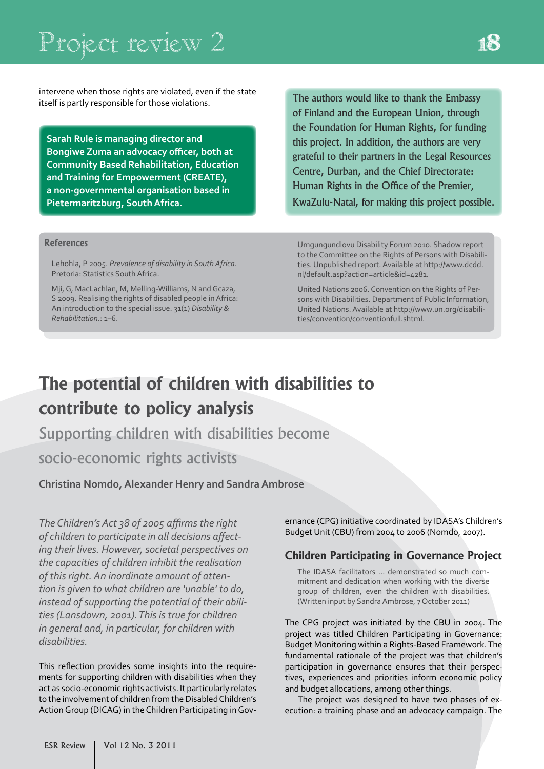# Project review 2

intervene when those rights are violated, even if the state itself is partly responsible for those violations.

**Sarah Rule is managing director and Bongiwe Zuma an advocacy officer, both at Community Based Rehabilitation, Education and Training for Empowerment (CREATE), a non-governmental organisation based in Pietermaritzburg, South Africa.**

The authors would like to thank the Embassy of Finland and the European Union, through the Foundation for Human Rights, for funding this project. In addition, the authors are very grateful to their partners in the Legal Resources Centre, Durban, and the Chief Directorate: Human Rights in the Office of the Premier, KwaZulu-Natal, for making this project possible.

#### **References**

Lehohla, P 2005. *Prevalence of disability in South Africa*. Pretoria: Statistics South Africa.

Mji, G, MacLachlan, M, Melling-Williams, N and Gcaza, S 2009. Realising the rights of disabled people in Africa: An introduction to the special issue. 31(1) *Disability & Rehabilitation*.: 1–6.

Umgungundlovu Disability Forum 2010. Shadow report to the Committee on the Rights of Persons with Disabilities. Unpublished report. Available at http://www.dcdd. nl/default.asp?action=article&id=4281.

United Nations 2006. Convention on the Rights of Persons with Disabilities. Department of Public Information, United Nations. Available at http://www.un.org/disabilities/convention/conventionfull.shtml.

# **The potential of children with disabilities to contribute to policy analysis**

Supporting children with disabilities become socio-economic rights activists

**Christina Nomdo, Alexander Henry and Sandra Ambrose**

*The Children's Act 38 of 2005 affirms the right of children to participate in all decisions affecting their lives. However, societal perspectives on the capacities of children inhibit the realisation of this right. An inordinate amount of attention is given to what children are 'unable' to do, instead of supporting the potential of their abilities (Lansdown, 2001). This is true for children in general and, in particular, for children with disabilities.*

This reflection provides some insights into the requirements for supporting children with disabilities when they act as socio-economic rights activists. It particularly relates to the involvement of children from the Disabled Children's Action Group (DICAG) in the Children Participating in Governance (CPG) initiative coordinated by IDASA's Children's Budget Unit (CBU) from 2004 to 2006 (Nomdo, 2007).

#### **Children Participating in Governance Project**

The IDASA facilitators ... demonstrated so much commitment and dedication when working with the diverse group of children, even the children with disabilities. (Written input by Sandra Ambrose, 7 October 2011)

The CPG project was initiated by the CBU in 2004. The project was titled Children Participating in Governance: Budget Monitoring within a Rights-Based Framework. The fundamental rationale of the project was that children's participation in governance ensures that their perspectives, experiences and priorities inform economic policy and budget allocations, among other things.

The project was designed to have two phases of execution: a training phase and an advocacy campaign. The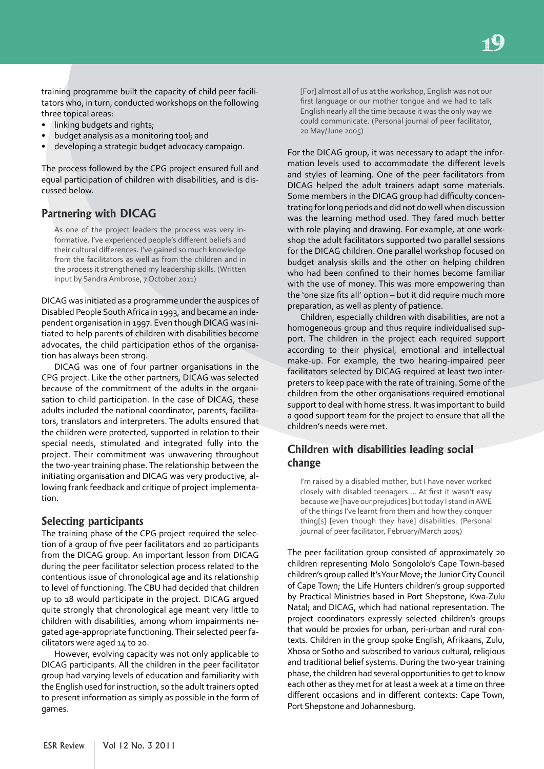training programme built the capacity of child peer facilitators who, in turn, conducted workshops on the following three topical areas:

- linking budgets and rights;
- budget analysis as a monitoring tool; and
- developing a strategic budget advocacy campaign.

The process followed by the CPG project ensured full and equal participation of children with disabilities, and is discussed below.

#### **Partnering with DICAG**

As one of the project leaders the process was very informative. I've experienced people's different beliefs and their cultural differences. I've gained so much knowledge from the facilitators as well as from the children and in the process it strengthened my leadership skills. (Written input by Sandra Ambrose, 7 October 2011)

DICAG was initiated as a programme under the auspices of Disabled People South Africa in 1993, and became an independent organisation in 1997. Even though DICAG was initiated to help parents of children with disabilities become advocates, the child participation ethos of the organisation has always been strong.

DICAG was one of four partner organisations in the CPG project. Like the other partners, DICAG was selected because of the commitment of the adults in the organisation to child participation. In the case of DICAG, these adults included the national coordinator, parents, facilitators, translators and interpreters. The adults ensured that the children were protected, supported in relation to their special needs, stimulated and integrated fully into the project. Their commitment was unwavering throughout the two-year training phase. The relationship between the initiating organisation and DICAG was very productive, allowing frank feedback and critique of project implementation.

#### **Selecting participants**

The training phase of the CPG project required the selection of a group of five peer facilitators and 20 participants from the DICAG group. An important lesson from DICAG during the peer facilitator selection process related to the contentious issue of chronological age and its relationship to level of functioning. The CBU had decided that children up to 18 would participate in the project. DICAG argued quite strongly that chronological age meant very little to children with disabilities, among whom impairments negated age-appropriate functioning. Their selected peer facilitators were aged 14 to 20.

However, evolving capacity was not only applicable to DICAG participants. All the children in the peer facilitator group had varying levels of education and familiarity with the English used for instruction, so the adult trainers opted to present information as simply as possible in the form of games.

[For] almost all of us at the workshop, English was not our first language or our mother tongue and we had to talk English nearly all the time because it was the only way we could communicate. (Personal journal of peer facilitator, 20 May/June 2005)

For the DICAG group, it was necessary to adapt the information levels used to accommodate the different levels and styles of learning. One of the peer facilitators from DICAG helped the adult trainers adapt some materials. Some members in the DICAG group had difficulty concentrating for long periods and did not do well when discussion was the learning method used. They fared much better with role playing and drawing. For example, at one workshop the adult facilitators supported two parallel sessions for the DICAG children. One parallel workshop focused on budget analysis skills and the other on helping children who had been confined to their homes become familiar with the use of money. This was more empowering than the 'one size fits all' option – but it did require much more preparation, as well as plenty of patience.

Children, especially children with disabilities, are not a homogeneous group and thus require individualised support. The children in the project each required support according to their physical, emotional and intellectual make-up. For example, the two hearing-impaired peer facilitators selected by DICAG required at least two interpreters to keep pace with the rate of training. Some of the children from the other organisations required emotional support to deal with home stress. It was important to build a good support team for the project to ensure that all the children's needs were met.

#### **Children with disabilities leading social change**

I'm raised by a disabled mother, but I have never worked closely with disabled teenagers…. At first it wasn't easy because we [have our prejudices] but today I stand in AWE of the things I've learnt from them and how they conquer thing[s] [even though they have] disabilities. (Personal journal of peer facilitator, February/March 2005)

The peer facilitation group consisted of approximately 20 children representing Molo Songololo's Cape Town-based children's group called It's Your Move; the Junior City Council of Cape Town; the Life Hunters children's group supported by Practical Ministries based in Port Shepstone, Kwa-Zulu Natal; and DICAG, which had national representation. The project coordinators expressly selected children's groups that would be proxies for urban, peri-urban and rural contexts. Children in the group spoke English, Afrikaans, Zulu, Xhosa or Sotho and subscribed to various cultural, religious and traditional belief systems. During the two-year training phase, the children had several opportunities to get to know each other as they met for at least a week at a time on three different occasions and in different contexts: Cape Town, Port Shepstone and Johannesburg.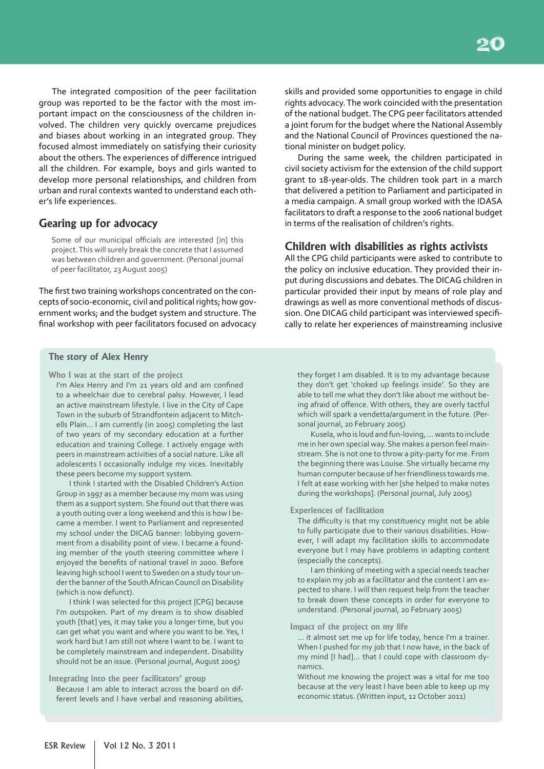The integrated composition of the peer facilitation group was reported to be the factor with the most important impact on the consciousness of the children involved. The children very quickly overcame prejudices and biases about working in an integrated group. They focused almost immediately on satisfying their curiosity about the others. The experiences of difference intrigued all the children. For example, boys and girls wanted to develop more personal relationships, and children from urban and rural contexts wanted to understand each other's life experiences.

#### **Gearing up for advocacy**

Some of our municipal officials are interested [in] this project. This will surely break the concrete that I assumed was between children and government. (Personal journal of peer facilitator, 23 August 2005)

The first two training workshops concentrated on the concepts of socio-economic, civil and political rights; how government works; and the budget system and structure. The final workshop with peer facilitators focused on advocacy

#### **The story of Alex Henry**

**Who I was at the start of the project**

I'm Alex Henry and I'm 21 years old and am confined to a wheelchair due to cerebral palsy. However, I lead an active mainstream lifestyle. I live in the City of Cape Town in the suburb of Strandfontein adjacent to Mitchells Plain… I am currently (in 2005) completing the last of two years of my secondary education at a further education and training College. I actively engage with peers in mainstream activities of a social nature. Like all adolescents I occasionally indulge my vices. Inevitably these peers become my support system.

I think I started with the Disabled Children's Action Group in 1997 as a member because my mom was using them as a support system. She found out that there was a youth outing over a long weekend and this is how I became a member. I went to Parliament and represented my school under the DICAG banner: lobbying government from a disability point of view. I became a founding member of the youth steering committee where I enjoyed the benefits of national travel in 2000. Before leaving high school I went to Sweden on a study tour under the banner of the South African Council on Disability (which is now defunct).

I think I was selected for this project [CPG] because I'm outspoken. Part of my dream is to show disabled youth [that] yes, it may take you a longer time, but you can get what you want and where you want to be. Yes, I work hard but I am still not where I want to be. I want to be completely mainstream and independent. Disability should not be an issue. (Personal journal, August 2005)

**Integrating into the peer facilitators' group**

Because I am able to interact across the board on different levels and I have verbal and reasoning abilities, skills and provided some opportunities to engage in child rights advocacy. The work coincided with the presentation of the national budget. The CPG peer facilitators attended a joint forum for the budget where the National Assembly and the National Council of Provinces questioned the national minister on budget policy.

During the same week, the children participated in civil society activism for the extension of the child support grant to 18-year-olds. The children took part in a march that delivered a petition to Parliament and participated in a media campaign. A small group worked with the IDASA facilitators to draft a response to the 2006 national budget in terms of the realisation of children's rights.

#### **Children with disabilities as rights activists**

All the CPG child participants were asked to contribute to the policy on inclusive education. They provided their input during discussions and debates. The DICAG children in particular provided their input by means of role play and drawings as well as more conventional methods of discussion. One DICAG child participant was interviewed specifically to relate her experiences of mainstreaming inclusive

they forget I am disabled. It is to my advantage because they don't get 'choked up feelings inside'. So they are able to tell me what they don't like about me without being afraid of offence. With others, they are overly tactful which will spark a vendetta/argument in the future. (Personal journal, 20 February 2005)

Kusela, who is loud and fun-loving, … wants to include me in her own special way. She makes a person feel mainstream. She is not one to throw a pity-party for me. From the beginning there was Louise. She virtually became my human computer because of her friendliness towards me. I felt at ease working with her [she helped to make notes during the workshops]. (Personal journal, July 2005)

#### **Experiences of facilitation**

The difficulty is that my constituency might not be able to fully participate due to their various disabilities. However, I will adapt my facilitation skills to accommodate everyone but I may have problems in adapting content (especially the concepts).

I am thinking of meeting with a special needs teacher to explain my job as a facilitator and the content I am expected to share. I will then request help from the teacher to break down these concepts in order for everyone to understand. (Personal journal, 20 February 2005)

**Impact of the project on my life**

... it almost set me up for life today, hence I'm a trainer. When I pushed for my job that I now have, in the back of my mind [I had]... that I could cope with classroom dynamics.

Without me knowing the project was a vital for me too because at the very least I have been able to keep up my economic status. (Written input, 12 October 2011)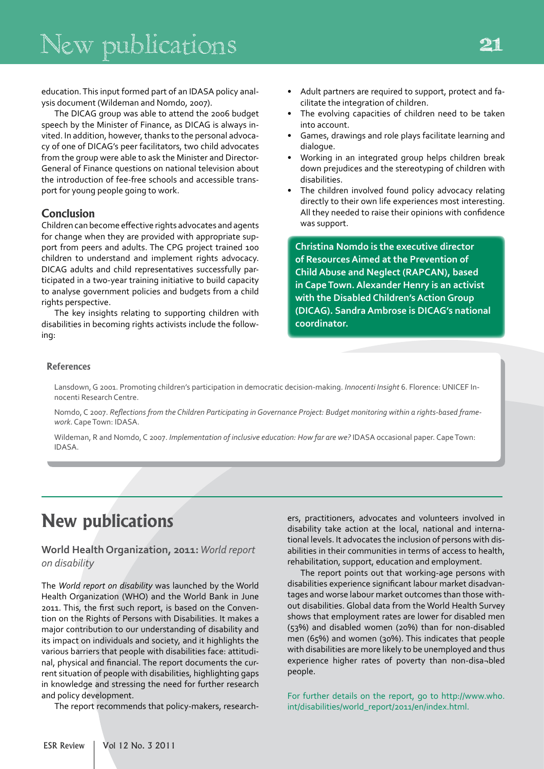education. This input formed part of an IDASA policy analysis document (Wildeman and Nomdo, 2007).

The DICAG group was able to attend the 2006 budget speech by the Minister of Finance, as DICAG is always invited. In addition, however, thanks to the personal advocacy of one of DICAG's peer facilitators, two child advocates from the group were able to ask the Minister and Director-General of Finance questions on national television about the introduction of fee-free schools and accessible transport for young people going to work.

#### **Conclusion**

Children can become effective rights advocates and agents for change when they are provided with appropriate support from peers and adults. The CPG project trained 100 children to understand and implement rights advocacy. DICAG adults and child representatives successfully participated in a two-year training initiative to build capacity to analyse government policies and budgets from a child rights perspective.

The key insights relating to supporting children with disabilities in becoming rights activists include the following:

- Adult partners are required to support, protect and facilitate the integration of children.
- The evolving capacities of children need to be taken into account.
- Games, drawings and role plays facilitate learning and dialogue.
- Working in an integrated group helps children break down prejudices and the stereotyping of children with disabilities.
- The children involved found policy advocacy relating directly to their own life experiences most interesting. All they needed to raise their opinions with confidence was support.

**Christina Nomdo is the executive director of Resources Aimed at the Prevention of Child Abuse and Neglect (RAPCAN), based in Cape Town. Alexander Henry is an activist with the Disabled Children's Action Group (DICAG). Sandra Ambrose is DICAG's national coordinator.**

#### **References**

Lansdown, G 2001. Promoting children's participation in democratic decision-making. *Innocenti Insight* 6. Florence: UNICEF Innocenti Research Centre.

Nomdo, C 2007. *Reflections from the Children Participating in Governance Project: Budget monitoring within a rights-based framework*. Cape Town: IDASA.

Wildeman, R and Nomdo, C 2007. *Implementation of inclusive education: How far are we?* IDASA occasional paper. Cape Town: IDASA.

### **New publications**

#### **World Health Organization, 2011:** *World report on disability*

The *World report on disability* was launched by the World Health Organization (WHO) and the World Bank in June 2011. This, the first such report, is based on the Convention on the Rights of Persons with Disabilities. It makes a major contribution to our understanding of disability and its impact on individuals and society, and it highlights the various barriers that people with disabilities face: attitudinal, physical and financial. The report documents the current situation of people with disabilities, highlighting gaps in knowledge and stressing the need for further research and policy development.

The report recommends that policy-makers, research-

ers, practitioners, advocates and volunteers involved in disability take action at the local, national and international levels. It advocates the inclusion of persons with disabilities in their communities in terms of access to health, rehabilitation, support, education and employment.

The report points out that working-age persons with disabilities experience significant labour market disadvantages and worse labour market outcomes than those without disabilities. Global data from the World Health Survey shows that employment rates are lower for disabled men (53%) and disabled women (20%) than for non-disabled men (65%) and women (30%). This indicates that people with disabilities are more likely to be unemployed and thus experience higher rates of poverty than non-disa¬bled people.

For further details on the report, go to http://www.who. int/disabilities/world\_report/2011/en/index.html.

21